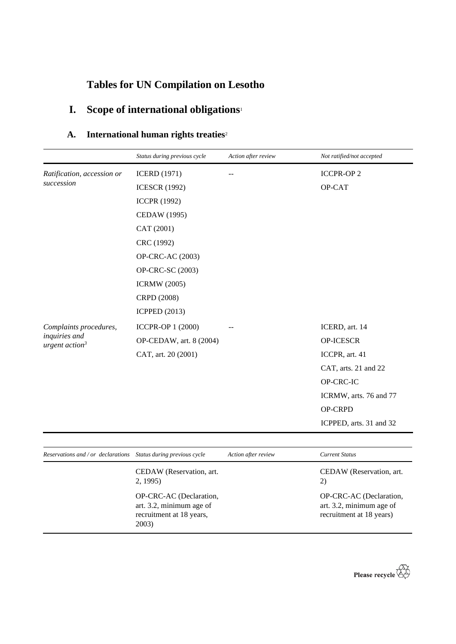# **Tables for UN Compilation on Lesotho**

# **I. Scope of international obligations**<sup>1</sup>

## **A. International human rights treaties**<sup>2</sup>

| Ratification, accession or                                  | <b>ICERD</b> (1971)      |                         |
|-------------------------------------------------------------|--------------------------|-------------------------|
|                                                             |                          | <b>ICCPR-OP2</b>        |
| succession                                                  | <b>ICESCR (1992)</b>     | OP-CAT                  |
|                                                             | <b>ICCPR (1992)</b>      |                         |
|                                                             | CEDAW (1995)             |                         |
|                                                             | CAT (2001)               |                         |
|                                                             | CRC (1992)               |                         |
|                                                             | OP-CRC-AC (2003)         |                         |
|                                                             | OP-CRC-SC (2003)         |                         |
|                                                             | <b>ICRMW</b> (2005)      |                         |
|                                                             | CRPD (2008)              |                         |
|                                                             | <b>ICPPED</b> (2013)     |                         |
| Complaints procedures,<br>inquiries and<br>urgent $action3$ | <b>ICCPR-OP 1 (2000)</b> | ICERD, art. 14          |
|                                                             | OP-CEDAW, art. 8 (2004)  | OP-ICESCR               |
|                                                             | CAT, art. 20 (2001)      | ICCPR, art. 41          |
|                                                             |                          | CAT, arts. 21 and 22    |
|                                                             |                          | OP-CRC-IC               |
|                                                             |                          | ICRMW, arts. 76 and 77  |
|                                                             |                          | <b>OP-CRPD</b>          |
|                                                             |                          | ICPPED, arts. 31 and 32 |

| Reservations and / or declarations Status during previous cycle                          |                                     | Action after review | <b>Current Status</b>                                                           |
|------------------------------------------------------------------------------------------|-------------------------------------|---------------------|---------------------------------------------------------------------------------|
|                                                                                          | CEDAW (Reservation, art.<br>2, 1995 |                     | CEDAW (Reservation, art.<br>2)                                                  |
| OP-CRC-AC (Declaration,<br>art. 3.2, minimum age of<br>recruitment at 18 years,<br>2003) |                                     |                     | OP-CRC-AC (Declaration,<br>art. 3.2, minimum age of<br>recruitment at 18 years) |

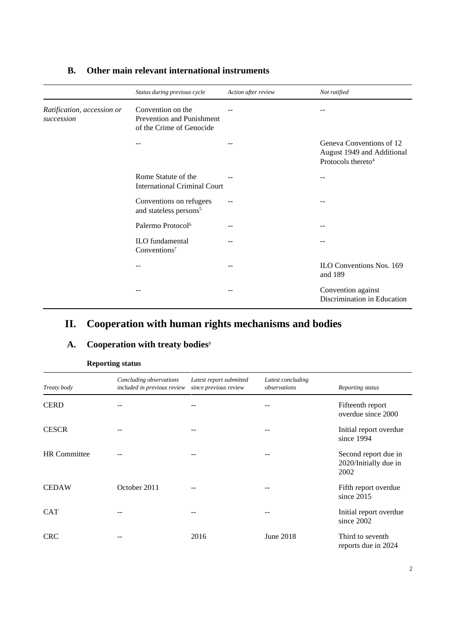|                                          | Status during previous cycle                                               | Action after review | Not ratified                                                                             |
|------------------------------------------|----------------------------------------------------------------------------|---------------------|------------------------------------------------------------------------------------------|
| Ratification, accession or<br>succession | Convention on the<br>Prevention and Punishment<br>of the Crime of Genocide |                     |                                                                                          |
|                                          |                                                                            |                     | Geneva Conventions of 12<br>August 1949 and Additional<br>Protocols thereto <sup>4</sup> |
|                                          | Rome Statute of the<br><b>International Criminal Court</b>                 |                     | --                                                                                       |
|                                          | Conventions on refugees<br>and stateless persons <sup>5</sup>              |                     |                                                                                          |
|                                          | Palermo Protocol <sup>6</sup>                                              |                     |                                                                                          |
|                                          | ILO fundamental<br>Conventions <sup>7</sup>                                |                     |                                                                                          |
|                                          |                                                                            |                     | ILO Conventions Nos. 169<br>and 189                                                      |
|                                          |                                                                            |                     | Convention against<br>Discrimination in Education                                        |

### **B. Other main relevant international instruments**

## **II. Cooperation with human rights mechanisms and bodies**

### **A. Cooperation with treaty bodies**<sup>8</sup>

| Treaty body         | Concluding observations<br>included in previous review | Latest report submitted<br>since previous review | Latest concluding<br>observations | Reporting status                                      |
|---------------------|--------------------------------------------------------|--------------------------------------------------|-----------------------------------|-------------------------------------------------------|
| <b>CERD</b>         |                                                        |                                                  |                                   | Fifteenth report<br>overdue since 2000                |
| <b>CESCR</b>        |                                                        |                                                  |                                   | Initial report overdue<br>since 1994                  |
| <b>HR</b> Committee |                                                        |                                                  |                                   | Second report due in<br>2020/Initially due in<br>2002 |
| <b>CEDAW</b>        | October 2011                                           |                                                  |                                   | Fifth report overdue<br>since $2015$                  |
| <b>CAT</b>          |                                                        |                                                  |                                   | Initial report overdue<br>since 2002                  |
| <b>CRC</b>          |                                                        | 2016                                             | June 2018                         | Third to seventh<br>reports due in 2024               |

#### **Reporting status**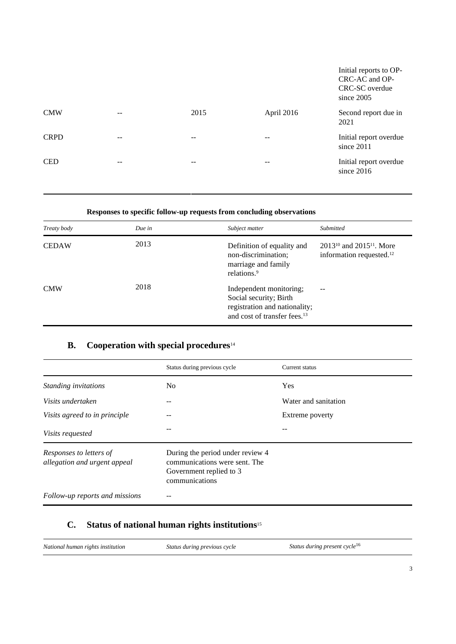|             |    |       |            | Initial reports to OP-<br>CRC-AC and OP-<br>CRC-SC overdue<br>since 2005 |
|-------------|----|-------|------------|--------------------------------------------------------------------------|
| <b>CMW</b>  |    | 2015  | April 2016 | Second report due in<br>2021                                             |
| <b>CRPD</b> | -- | $- -$ | --         | Initial report overdue<br>since 2011                                     |
| <b>CED</b>  | -- | --    | --         | Initial report overdue<br>since 2016                                     |
|             |    |       |            |                                                                          |

### **Responses to specific follow-up requests from concluding observations**

| Treaty body  | Due in | Subject matter                                                                                                                 | Submitted                                                                  |
|--------------|--------|--------------------------------------------------------------------------------------------------------------------------------|----------------------------------------------------------------------------|
| <b>CEDAW</b> | 2013   | Definition of equality and<br>non-discrimination;<br>marriage and family<br>relations. <sup>9</sup>                            | $2013^{10}$ and $2015^{11}$ . More<br>information requested. <sup>12</sup> |
| <b>CMW</b>   | 2018   | Independent monitoring;<br>Social security; Birth<br>registration and nationality;<br>and cost of transfer fees. <sup>13</sup> | $-$                                                                        |

## **B. Cooperation with special procedures**<sup>14</sup>

|                                                         | Status during previous cycle                                                                                   | Current status       |
|---------------------------------------------------------|----------------------------------------------------------------------------------------------------------------|----------------------|
| Standing invitations                                    | No.                                                                                                            | Yes                  |
| Visits undertaken                                       |                                                                                                                | Water and sanitation |
| Visits agreed to in principle                           |                                                                                                                | Extreme poverty      |
| <i>Visits requested</i>                                 |                                                                                                                |                      |
| Responses to letters of<br>allegation and urgent appeal | During the period under review 4<br>communications were sent. The<br>Government replied to 3<br>communications |                      |
| Follow-up reports and missions                          |                                                                                                                |                      |

## **C. Status of national human rights institutions**<sup>15</sup>

| National human rights institution | Status during previous cycle | Status during present cycle <sup>16</sup> |
|-----------------------------------|------------------------------|-------------------------------------------|
|-----------------------------------|------------------------------|-------------------------------------------|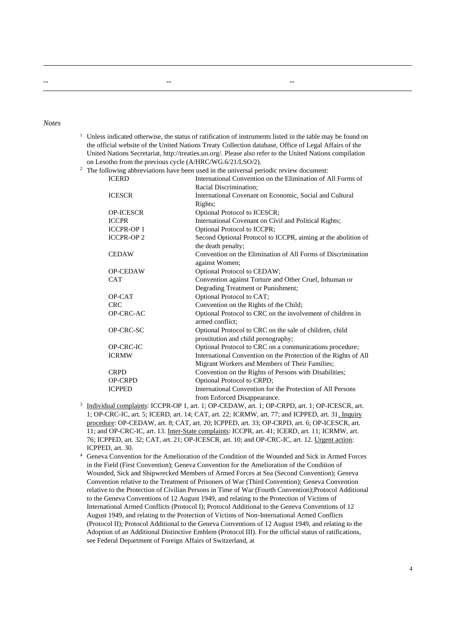#### *Notes*

- <sup>1</sup> Unless indicated otherwise, the status of ratification of instruments listed in the table may be found on the official website of the United Nations Treaty Collection database, Office of Legal Affairs of the United Nations Secretariat, http://treaties.un.org/. Please also refer to the United Nations compilation on Lesotho from the previous cycle (A/HRC/WG.6/21/LSO/2).
- <sup>2</sup> The following abbreviations have been used in the universal periodic review document:

-- -- --

| <b>ICERD</b>      | International Convention on the Elimination of All Forms of     |
|-------------------|-----------------------------------------------------------------|
|                   | Racial Discrimination;                                          |
| <b>ICESCR</b>     | International Covenant on Economic, Social and Cultural         |
|                   | Rights;                                                         |
| <b>OP-ICESCR</b>  | Optional Protocol to ICESCR;                                    |
| <b>ICCPR</b>      | International Covenant on Civil and Political Rights;           |
| <b>ICCPR-OP1</b>  | Optional Protocol to ICCPR;                                     |
| <b>ICCPR-OP 2</b> | Second Optional Protocol to ICCPR, aiming at the abolition of   |
|                   | the death penalty;                                              |
| <b>CEDAW</b>      | Convention on the Elimination of All Forms of Discrimination    |
|                   | against Women;                                                  |
| <b>OP-CEDAW</b>   | Optional Protocol to CEDAW;                                     |
| <b>CAT</b>        | Convention against Torture and Other Cruel, Inhuman or          |
|                   | Degrading Treatment or Punishment;                              |
| OP-CAT            | Optional Protocol to CAT;                                       |
| <b>CRC</b>        | Convention on the Rights of the Child;                          |
| OP-CRC-AC         | Optional Protocol to CRC on the involvement of children in      |
|                   | armed conflict:                                                 |
| OP-CRC-SC         | Optional Protocol to CRC on the sale of children, child         |
|                   | prostitution and child pornography;                             |
| <b>OP-CRC-IC</b>  | Optional Protocol to CRC on a communications procedure;         |
| <b>ICRMW</b>      | International Convention on the Protection of the Rights of All |
|                   | Migrant Workers and Members of Their Families;                  |
| <b>CRPD</b>       | Convention on the Rights of Persons with Disabilities;          |
| <b>OP-CRPD</b>    | Optional Protocol to CRPD;                                      |
| <b>ICPPED</b>     | International Convention for the Protection of All Persons      |
|                   | from Enforced Disappearance.                                    |

- 3 Individual complaints: ICCPR-OP 1, art. 1; OP-CEDAW, art. 1; OP-CRPD, art. 1; OP-ICESCR, art. 1; OP-CRC-IC, art. 5; ICERD, art. 14; CAT, art. 22; ICRMW, art. 77; and ICPPED, art. 31. Inquiry procedure: OP-CEDAW, art. 8; CAT, art. 20; ICPPED, art. 33; OP-CRPD, art. 6; OP-ICESCR, art. 11; and OP-CRC-IC, art. 13. Inter-State complaints: ICCPR, art. 41; ICERD, art. 11; ICRMW, art. 76; ICPPED, art. 32; CAT, art. 21; OP-ICESCR, art. 10; and OP-CRC-IC, art. 12. Urgent action: ICPPED, art. 30.
- <sup>4</sup> Geneva Convention for the Amelioration of the Condition of the Wounded and Sick in Armed Forces in the Field (First Convention); Geneva Convention for the Amelioration of the Condition of Wounded, Sick and Shipwrecked Members of Armed Forces at Sea (Second Convention); Geneva Convention relative to the Treatment of Prisoners of War (Third Convention); Geneva Convention relative to the Protection of Civilian Persons in Time of War (Fourth Convention);Protocol Additional to the Geneva Conventions of 12 August 1949, and relating to the Protection of Victims of International Armed Conflicts (Protocol I); Protocol Additional to the Geneva Conventions of 12 August 1949, and relating to the Protection of Victims of Non-International Armed Conflicts (Protocol II); Protocol Additional to the Geneva Conventions of 12 August 1949, and relating to the Adoption of an Additional Distinctive Emblem (Protocol III). For the official status of ratifications, see Federal Department of Foreign Affairs of Switzerland, at